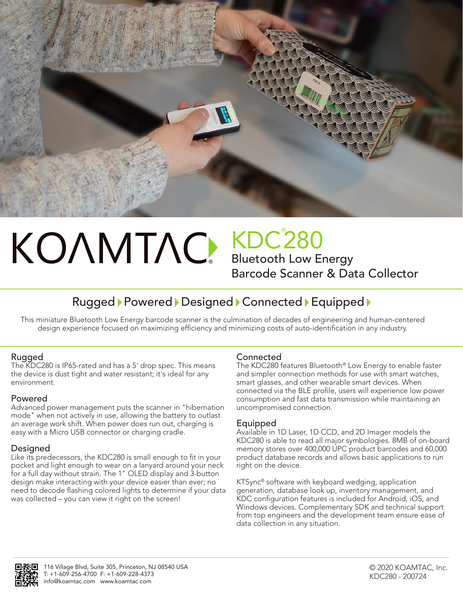

# ®

KDC® 280 Bluetooth Low Energy

Barcode Scanner & Data Collector

# Rugged Powered Designed Connected Equipped

This miniature Bluetooth Low Energy barcode scanner is the culmination of decades of engineering and human-centered design experience focused on maximizing efficiency and minimizing costs of auto-identification in any industry.

# Rugged

The KDC280 is IP65-rated and has a 5' drop spec. This means the device is dust tight and water resistant; it's ideal for any environment.

# Powered

Advanced power management puts the scanner in "hibernation mode" when not actively in use, allowing the battery to outlast an average work shift. When power does run out, charging is easy with a Micro USB connector or charging cradle.

# Designed

Like its predecessors, the KDC280 is small enough to fit in your pocket and light enough to wear on a lanyard around your neck for a full day without strain. The 1" OLED display and 3-button design make interacting with your device easier than ever; no need to decode flashing colored lights to determine if your data was collected – you can view it right on the screen!

# **Connected**

The KDC280 features Bluetooth® Low Energy to enable faster and simpler connection methods for use with smart watches, smart glasses, and other wearable smart devices. When connected via the BLE profile, users will experience low power consumption and fast data transmission while maintaining an uncompromised connection.

# Equipped

Available in 1D Laser, 1D CCD, and 2D Imager models the KDC280 is able to read all major symbologies. 8MB of on-board memory stores over 400,000 UPC product barcodes and 60,000 product database records and allows basic applications to run right on the device.

KTSync® software with keyboard wedging, application generation, database look up, inventory management, and KDC configuration features is included for Android, iOS, and Windows devices. Complementary SDK and technical support from top engineers and the development team ensure ease of data collection in any situation.